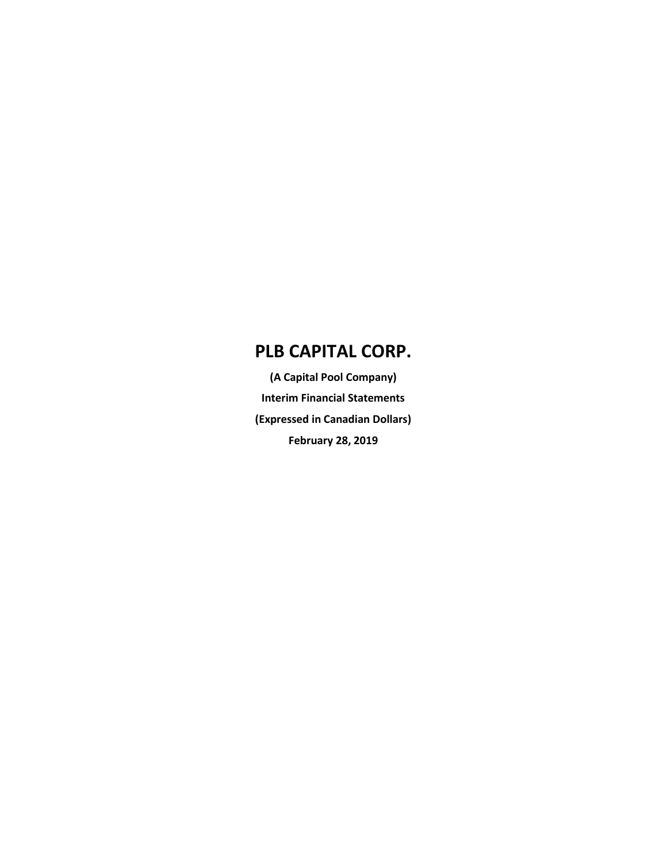**(A Capital Pool Company) Interim Financial Statements (Expressed in Canadian Dollars) February 28, 2019**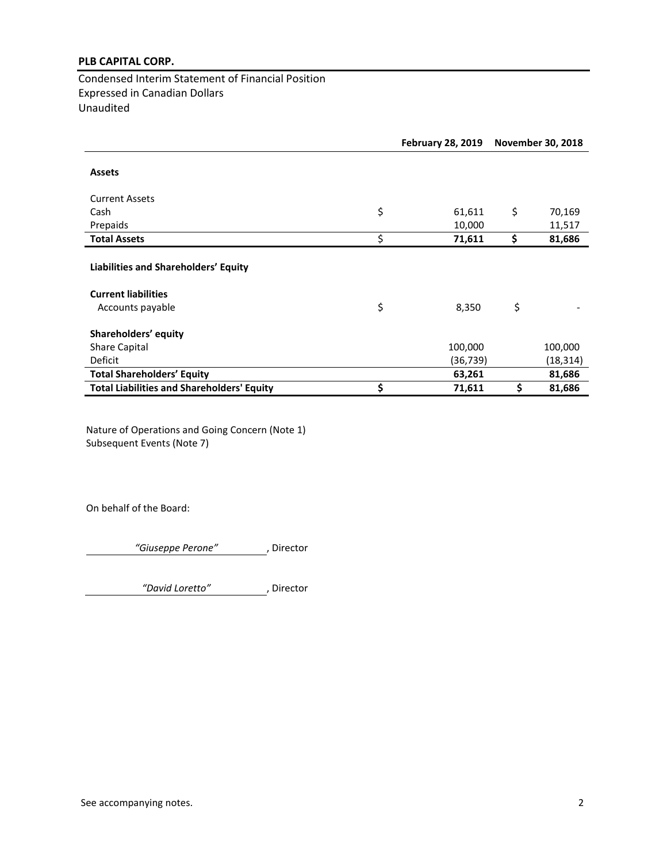Condensed Interim Statement of Financial Position Expressed in Canadian Dollars Unaudited

|                                                                    | <b>February 28, 2019</b> |           | <b>November 30, 2018</b> |           |  |
|--------------------------------------------------------------------|--------------------------|-----------|--------------------------|-----------|--|
| <b>Assets</b>                                                      |                          |           |                          |           |  |
| <b>Current Assets</b>                                              |                          |           |                          |           |  |
| Cash                                                               | \$                       | 61,611    | \$                       | 70,169    |  |
| Prepaids                                                           |                          | 10,000    |                          | 11,517    |  |
| <b>Total Assets</b>                                                | \$                       | 71,611    | \$                       | 81,686    |  |
| Liabilities and Shareholders' Equity<br><b>Current liabilities</b> |                          |           |                          |           |  |
| Accounts payable                                                   | \$                       | 8,350     | \$                       |           |  |
| Shareholders' equity                                               |                          |           |                          |           |  |
| <b>Share Capital</b>                                               |                          | 100,000   |                          | 100,000   |  |
| Deficit                                                            |                          | (36, 739) |                          | (18, 314) |  |
| <b>Total Shareholders' Equity</b>                                  |                          | 63,261    |                          | 81,686    |  |
| <b>Total Liabilities and Shareholders' Equity</b>                  | \$                       | 71,611    | \$                       | 81,686    |  |

Nature of Operations and Going Concern (Note 1) Subsequent Events (Note 7)

On behalf of the Board:

*"Giuseppe Perone"* , Director

*"David Loretto"* , Director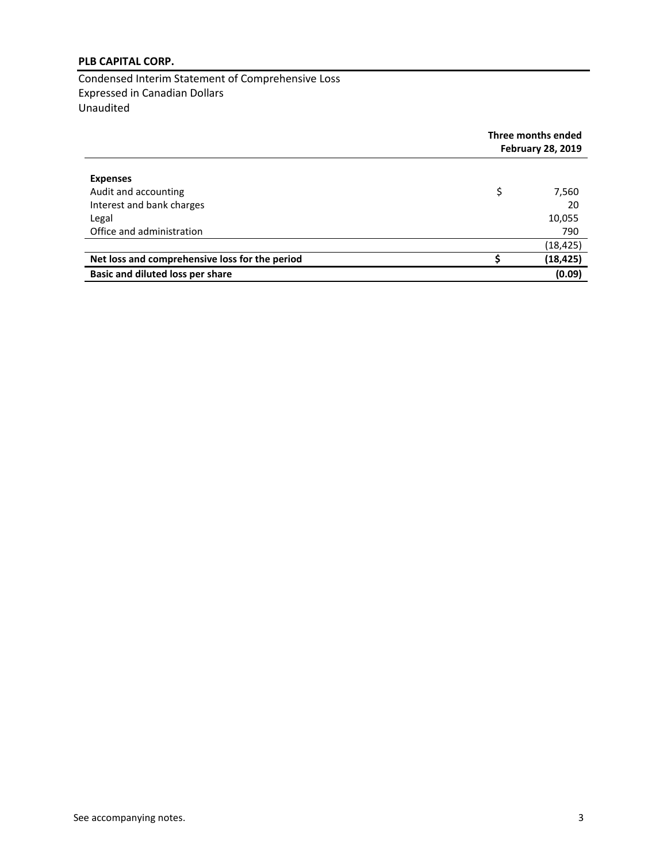Condensed Interim Statement of Comprehensive Loss Expressed in Canadian Dollars Unaudited

|                                                | Three months ended<br><b>February 28, 2019</b> |           |  |
|------------------------------------------------|------------------------------------------------|-----------|--|
| <b>Expenses</b>                                |                                                |           |  |
| Audit and accounting                           | \$                                             | 7,560     |  |
| Interest and bank charges                      |                                                | 20        |  |
| Legal                                          |                                                | 10,055    |  |
| Office and administration                      |                                                | 790       |  |
|                                                |                                                | (18, 425) |  |
| Net loss and comprehensive loss for the period |                                                | (18, 425) |  |
| Basic and diluted loss per share               |                                                | (0.09)    |  |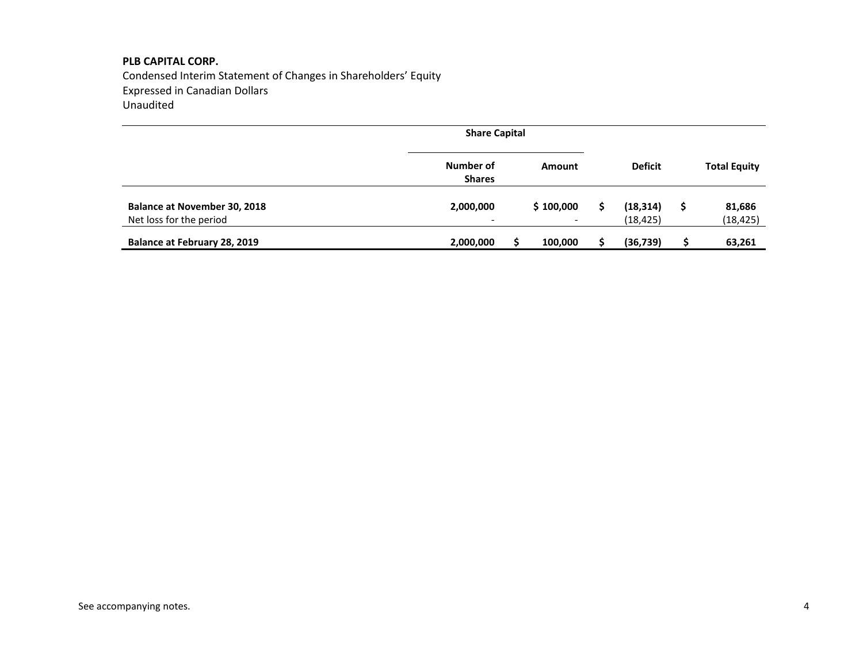Condensed Interim Statement of Changes in Shareholders' Equity Expressed in Canadian Dollars Unaudited

|                                                                |                            | <b>Share Capital</b>                  |  |                        |                     |
|----------------------------------------------------------------|----------------------------|---------------------------------------|--|------------------------|---------------------|
|                                                                | Number of<br><b>Shares</b> | Amount                                |  | <b>Deficit</b>         | <b>Total Equity</b> |
| <b>Balance at November 30, 2018</b><br>Net loss for the period | 2,000,000                  | \$100,000<br>$\overline{\phantom{0}}$ |  | (18, 314)<br>(18, 425) | 81,686<br>(18, 425) |
| Balance at February 28, 2019                                   | 2,000,000                  | 100,000                               |  | (36, 739)              | 63,261              |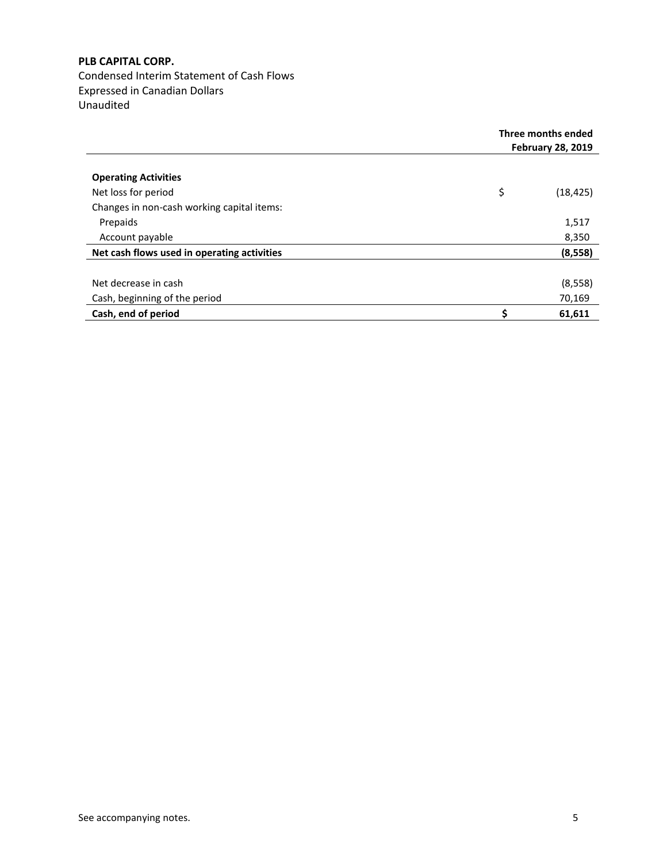Condensed Interim Statement of Cash Flows Expressed in Canadian Dollars Unaudited

|                                             | Three months ended<br><b>February 28, 2019</b> |  |
|---------------------------------------------|------------------------------------------------|--|
| <b>Operating Activities</b>                 |                                                |  |
| Net loss for period                         | \$<br>(18, 425)                                |  |
| Changes in non-cash working capital items:  |                                                |  |
| Prepaids                                    | 1,517                                          |  |
| Account payable                             | 8,350                                          |  |
| Net cash flows used in operating activities | (8,558)                                        |  |
|                                             |                                                |  |
| Net decrease in cash                        | (8, 558)                                       |  |
| Cash, beginning of the period               | 70,169                                         |  |
| Cash, end of period                         | \$<br>61,611                                   |  |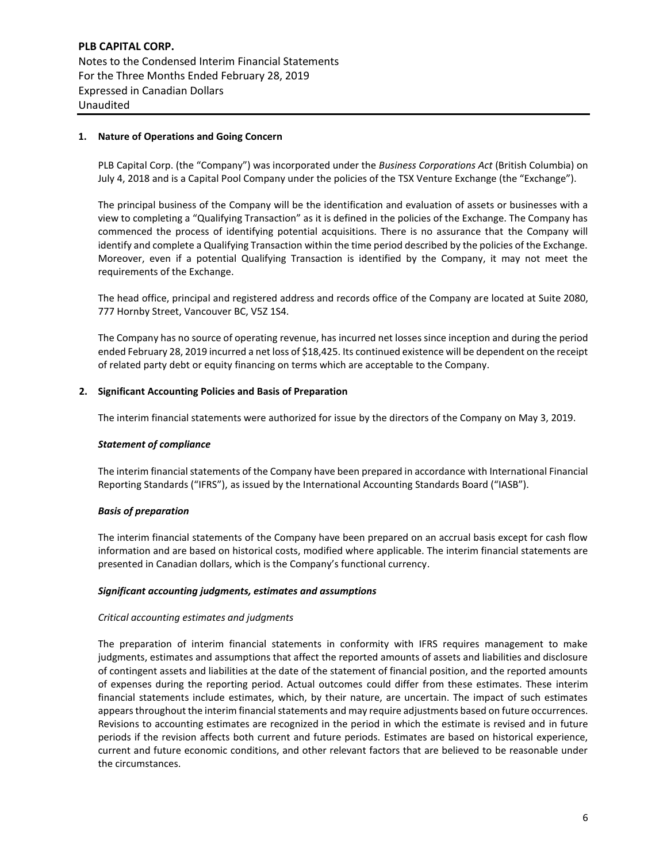**PLB CAPITAL CORP.** Notes to the Condensed Interim Financial Statements For the Three Months Ended February 28, 2019 Expressed in Canadian Dollars Unaudited

# **1. Nature of Operations and Going Concern**

PLB Capital Corp. (the "Company") was incorporated under the *Business Corporations Act* (British Columbia) on July 4, 2018 and is a Capital Pool Company under the policies of the TSX Venture Exchange (the "Exchange").

The principal business of the Company will be the identification and evaluation of assets or businesses with a view to completing a "Qualifying Transaction" as it is defined in the policies of the Exchange. The Company has commenced the process of identifying potential acquisitions. There is no assurance that the Company will identify and complete a Qualifying Transaction within the time period described by the policies of the Exchange. Moreover, even if a potential Qualifying Transaction is identified by the Company, it may not meet the requirements of the Exchange.

The head office, principal and registered address and records office of the Company are located at Suite 2080, 777 Hornby Street, Vancouver BC, V5Z 1S4.

The Company has no source of operating revenue, has incurred net losses since inception and during the period ended February 28, 2019 incurred a net loss of \$18,425. Its continued existence will be dependent on the receipt of related party debt or equity financing on terms which are acceptable to the Company.

## **2. Significant Accounting Policies and Basis of Preparation**

The interim financial statements were authorized for issue by the directors of the Company on May 3, 2019.

#### *Statement of compliance*

The interim financial statements of the Company have been prepared in accordance with International Financial Reporting Standards ("IFRS"), as issued by the International Accounting Standards Board ("IASB").

#### *Basis of preparation*

The interim financial statements of the Company have been prepared on an accrual basis except for cash flow information and are based on historical costs, modified where applicable. The interim financial statements are presented in Canadian dollars, which is the Company's functional currency.

#### *Significant accounting judgments, estimates and assumptions*

# *Critical accounting estimates and judgments*

The preparation of interim financial statements in conformity with IFRS requires management to make judgments, estimates and assumptions that affect the reported amounts of assets and liabilities and disclosure of contingent assets and liabilities at the date of the statement of financial position, and the reported amounts of expenses during the reporting period. Actual outcomes could differ from these estimates. These interim financial statements include estimates, which, by their nature, are uncertain. The impact of such estimates appears throughout the interim financial statements and may require adjustments based on future occurrences. Revisions to accounting estimates are recognized in the period in which the estimate is revised and in future periods if the revision affects both current and future periods. Estimates are based on historical experience, current and future economic conditions, and other relevant factors that are believed to be reasonable under the circumstances.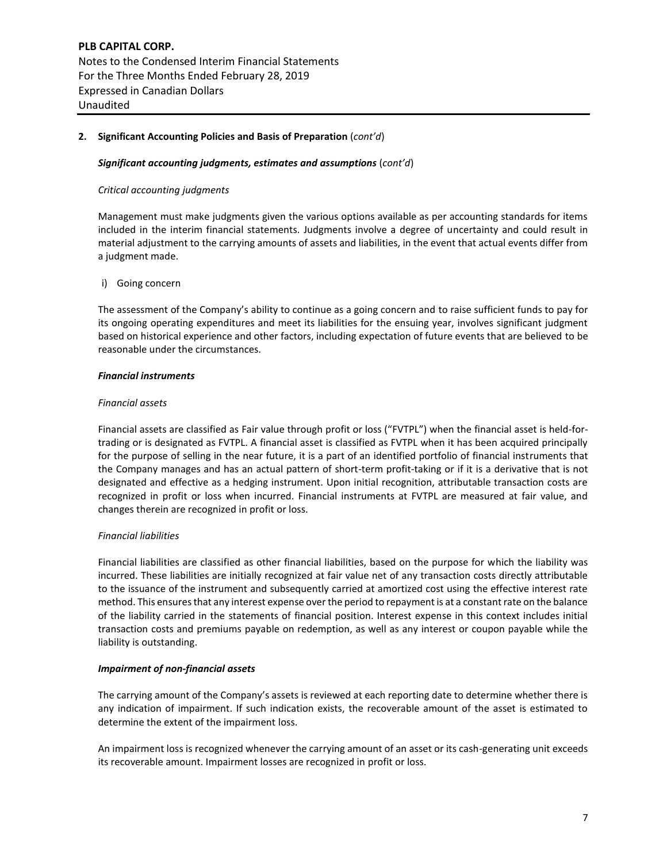# **2. Significant Accounting Policies and Basis of Preparation** (*cont'd*)

#### *Significant accounting judgments, estimates and assumptions* (*cont'd*)

#### *Critical accounting judgments*

Management must make judgments given the various options available as per accounting standards for items included in the interim financial statements. Judgments involve a degree of uncertainty and could result in material adjustment to the carrying amounts of assets and liabilities, in the event that actual events differ from a judgment made.

#### i) Going concern

The assessment of the Company's ability to continue as a going concern and to raise sufficient funds to pay for its ongoing operating expenditures and meet its liabilities for the ensuing year, involves significant judgment based on historical experience and other factors, including expectation of future events that are believed to be reasonable under the circumstances.

#### *Financial instruments*

#### *Financial assets*

Financial assets are classified as Fair value through profit or loss ("FVTPL") when the financial asset is held-fortrading or is designated as FVTPL. A financial asset is classified as FVTPL when it has been acquired principally for the purpose of selling in the near future, it is a part of an identified portfolio of financial instruments that the Company manages and has an actual pattern of short-term profit-taking or if it is a derivative that is not designated and effective as a hedging instrument. Upon initial recognition, attributable transaction costs are recognized in profit or loss when incurred. Financial instruments at FVTPL are measured at fair value, and changes therein are recognized in profit or loss.

# *Financial liabilities*

Financial liabilities are classified as other financial liabilities, based on the purpose for which the liability was incurred. These liabilities are initially recognized at fair value net of any transaction costs directly attributable to the issuance of the instrument and subsequently carried at amortized cost using the effective interest rate method. This ensures that any interest expense over the period to repayment is at a constant rate on the balance of the liability carried in the statements of financial position. Interest expense in this context includes initial transaction costs and premiums payable on redemption, as well as any interest or coupon payable while the liability is outstanding.

## *Impairment of non-financial assets*

The carrying amount of the Company's assets is reviewed at each reporting date to determine whether there is any indication of impairment. If such indication exists, the recoverable amount of the asset is estimated to determine the extent of the impairment loss.

An impairment loss is recognized whenever the carrying amount of an asset or its cash-generating unit exceeds its recoverable amount. Impairment losses are recognized in profit or loss.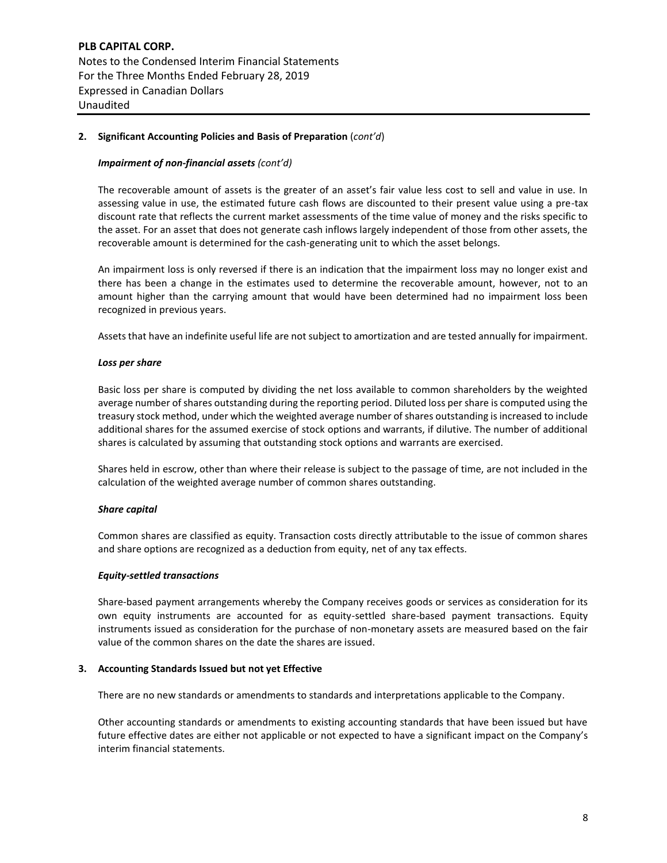# **2. Significant Accounting Policies and Basis of Preparation** (*cont'd*)

## *Impairment of non-financial assets (cont'd)*

The recoverable amount of assets is the greater of an asset's fair value less cost to sell and value in use. In assessing value in use, the estimated future cash flows are discounted to their present value using a pre-tax discount rate that reflects the current market assessments of the time value of money and the risks specific to the asset. For an asset that does not generate cash inflows largely independent of those from other assets, the recoverable amount is determined for the cash-generating unit to which the asset belongs.

An impairment loss is only reversed if there is an indication that the impairment loss may no longer exist and there has been a change in the estimates used to determine the recoverable amount, however, not to an amount higher than the carrying amount that would have been determined had no impairment loss been recognized in previous years.

Assets that have an indefinite useful life are not subject to amortization and are tested annually for impairment.

## *Loss per share*

Basic loss per share is computed by dividing the net loss available to common shareholders by the weighted average number of shares outstanding during the reporting period. Diluted loss per share is computed using the treasury stock method, under which the weighted average number of shares outstanding is increased to include additional shares for the assumed exercise of stock options and warrants, if dilutive. The number of additional shares is calculated by assuming that outstanding stock options and warrants are exercised.

Shares held in escrow, other than where their release is subject to the passage of time, are not included in the calculation of the weighted average number of common shares outstanding.

#### *Share capital*

Common shares are classified as equity. Transaction costs directly attributable to the issue of common shares and share options are recognized as a deduction from equity, net of any tax effects.

#### *Equity-settled transactions*

Share-based payment arrangements whereby the Company receives goods or services as consideration for its own equity instruments are accounted for as equity-settled share-based payment transactions. Equity instruments issued as consideration for the purchase of non-monetary assets are measured based on the fair value of the common shares on the date the shares are issued.

#### **3. Accounting Standards Issued but not yet Effective**

There are no new standards or amendments to standards and interpretations applicable to the Company.

Other accounting standards or amendments to existing accounting standards that have been issued but have future effective dates are either not applicable or not expected to have a significant impact on the Company's interim financial statements.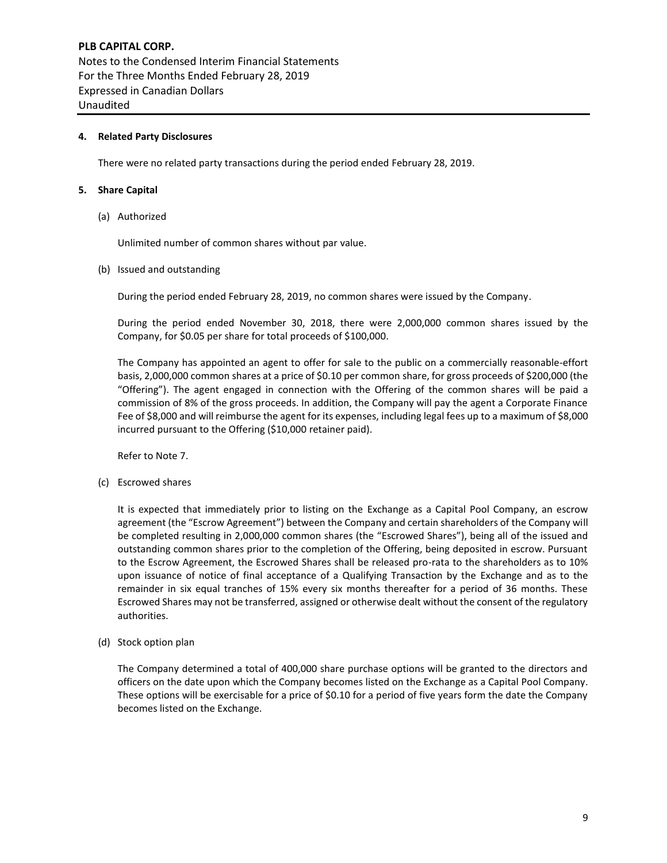# **PLB CAPITAL CORP.** Notes to the Condensed Interim Financial Statements For the Three Months Ended February 28, 2019 Expressed in Canadian Dollars Unaudited

# **4. Related Party Disclosures**

There were no related party transactions during the period ended February 28, 2019.

## **5. Share Capital**

(a) Authorized

Unlimited number of common shares without par value.

(b) Issued and outstanding

During the period ended February 28, 2019, no common shares were issued by the Company.

During the period ended November 30, 2018, there were 2,000,000 common shares issued by the Company, for \$0.05 per share for total proceeds of \$100,000.

The Company has appointed an agent to offer for sale to the public on a commercially reasonable-effort basis, 2,000,000 common shares at a price of \$0.10 per common share, for gross proceeds of \$200,000 (the "Offering"). The agent engaged in connection with the Offering of the common shares will be paid a commission of 8% of the gross proceeds. In addition, the Company will pay the agent a Corporate Finance Fee of \$8,000 and will reimburse the agent for its expenses, including legal fees up to a maximum of \$8,000 incurred pursuant to the Offering (\$10,000 retainer paid).

Refer to Note 7.

(c) Escrowed shares

It is expected that immediately prior to listing on the Exchange as a Capital Pool Company, an escrow agreement (the "Escrow Agreement") between the Company and certain shareholders of the Company will be completed resulting in 2,000,000 common shares (the "Escrowed Shares"), being all of the issued and outstanding common shares prior to the completion of the Offering, being deposited in escrow. Pursuant to the Escrow Agreement, the Escrowed Shares shall be released pro-rata to the shareholders as to 10% upon issuance of notice of final acceptance of a Qualifying Transaction by the Exchange and as to the remainder in six equal tranches of 15% every six months thereafter for a period of 36 months. These Escrowed Shares may not be transferred, assigned or otherwise dealt without the consent of the regulatory authorities.

(d) Stock option plan

The Company determined a total of 400,000 share purchase options will be granted to the directors and officers on the date upon which the Company becomes listed on the Exchange as a Capital Pool Company. These options will be exercisable for a price of \$0.10 for a period of five years form the date the Company becomes listed on the Exchange.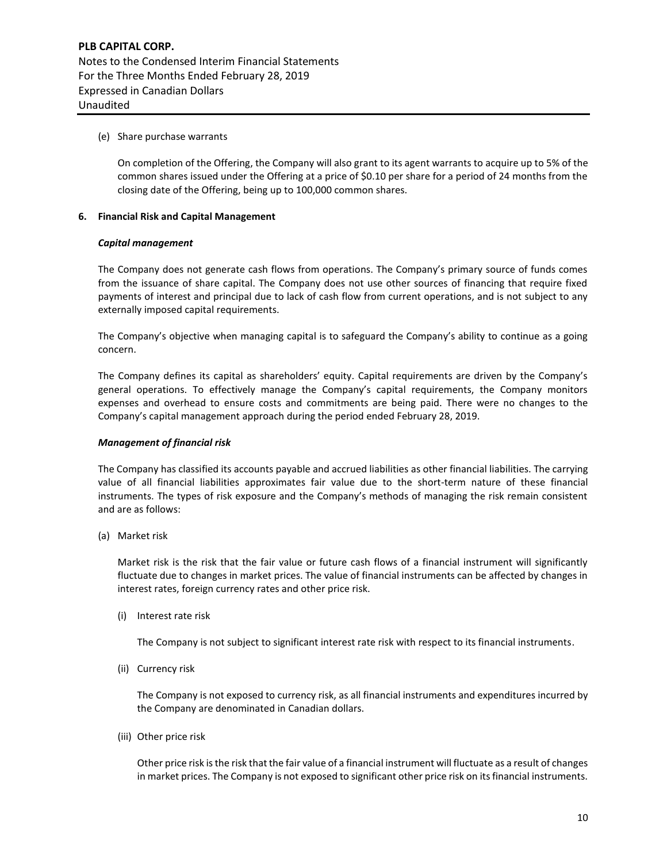# (e) Share purchase warrants

On completion of the Offering, the Company will also grant to its agent warrants to acquire up to 5% of the common shares issued under the Offering at a price of \$0.10 per share for a period of 24 months from the closing date of the Offering, being up to 100,000 common shares.

## **6. Financial Risk and Capital Management**

#### *Capital management*

The Company does not generate cash flows from operations. The Company's primary source of funds comes from the issuance of share capital. The Company does not use other sources of financing that require fixed payments of interest and principal due to lack of cash flow from current operations, and is not subject to any externally imposed capital requirements.

The Company's objective when managing capital is to safeguard the Company's ability to continue as a going concern.

The Company defines its capital as shareholders' equity. Capital requirements are driven by the Company's general operations. To effectively manage the Company's capital requirements, the Company monitors expenses and overhead to ensure costs and commitments are being paid. There were no changes to the Company's capital management approach during the period ended February 28, 2019.

#### *Management of financial risk*

The Company has classified its accounts payable and accrued liabilities as other financial liabilities. The carrying value of all financial liabilities approximates fair value due to the short-term nature of these financial instruments. The types of risk exposure and the Company's methods of managing the risk remain consistent and are as follows:

(a) Market risk

Market risk is the risk that the fair value or future cash flows of a financial instrument will significantly fluctuate due to changes in market prices. The value of financial instruments can be affected by changes in interest rates, foreign currency rates and other price risk.

(i) Interest rate risk

The Company is not subject to significant interest rate risk with respect to its financial instruments.

(ii) Currency risk

The Company is not exposed to currency risk, as all financial instruments and expenditures incurred by the Company are denominated in Canadian dollars.

(iii) Other price risk

Other price risk is the risk that the fair value of a financial instrument will fluctuate as a result of changes in market prices. The Company is not exposed to significant other price risk on its financial instruments.